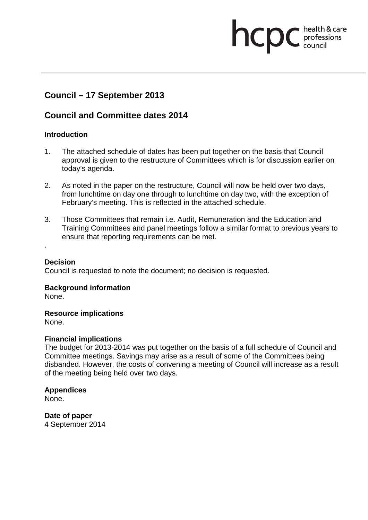# **Council – 17 September 2013**

## **Council and Committee dates 2014**

### **Introduction**

1. The attached schedule of dates has been put together on the basis that Council approval is given to the restructure of Committees which is for discussion earlier on today's agenda.

health & care

**health & care** 

- 2. As noted in the paper on the restructure, Council will now be held over two days, from lunchtime on day one through to lunchtime on day two, with the exception of February's meeting. This is reflected in the attached schedule.
- 3. Those Committees that remain i.e. Audit, Remuneration and the Education and Training Committees and panel meetings follow a similar format to previous years to ensure that reporting requirements can be met.

#### **Decision**

.

Council is requested to note the document; no decision is requested.

### **Background information**

None.

**Resource implications**

None.

### **Financial implications**

The budget for 2013-2014 was put together on the basis of a full schedule of Council and Committee meetings. Savings may arise as a result of some of the Committees being disbanded. However, the costs of convening a meeting of Council will increase as a result of the meeting being held over two days.

### **Appendices**

None.

**Date of paper** 4 September 2014